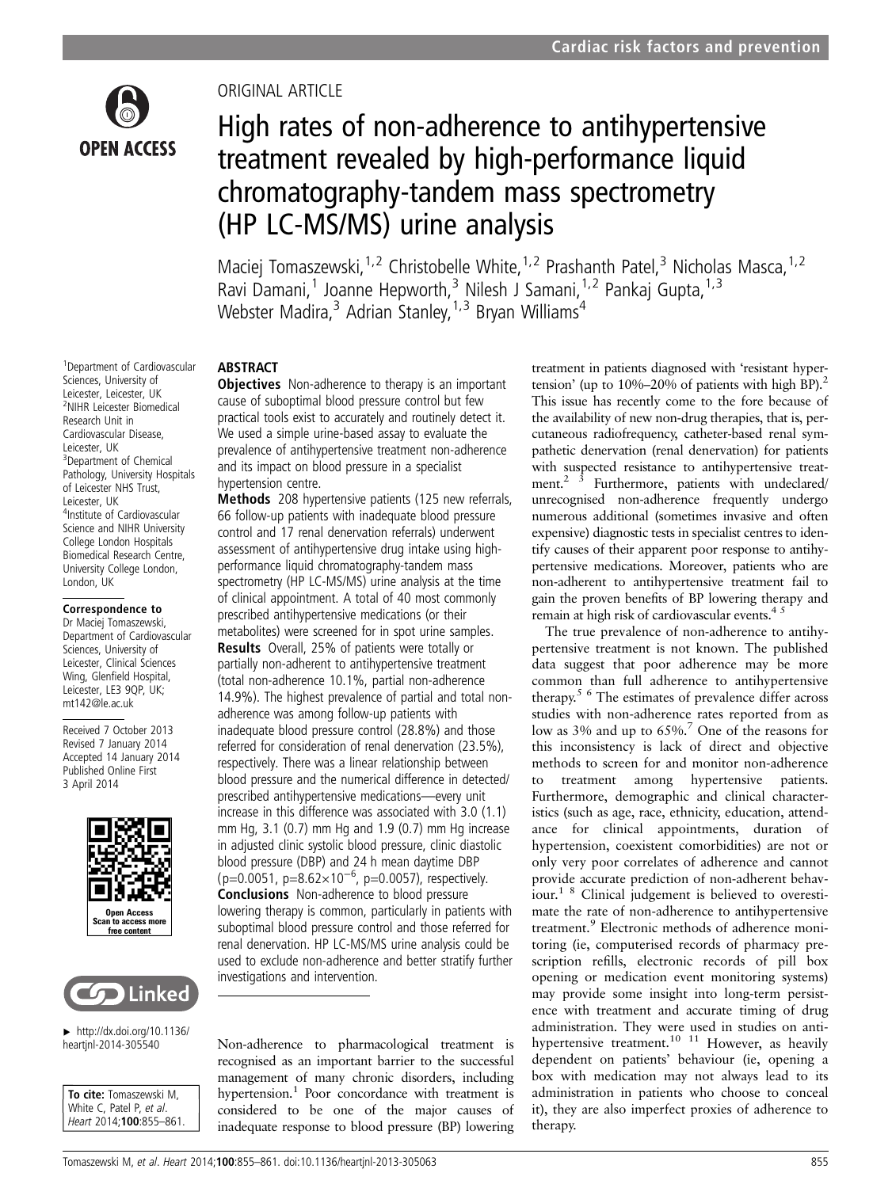

1 Department of Cardiovascular Sciences, University of Leicester, Leicester, UK 2 NIHR Leicester Biomedical Research Unit in Cardiovascular Disease, Leicester, UK <sup>3</sup>Department of Chemical Pathology, University Hospitals of Leicester NHS Trust, Leicester, UK

4 Institute of Cardiovascular Science and NIHR University College London Hospitals Biomedical Research Centre, University College London,

Correspondence to Dr Maciej Tomaszewski, Department of Cardiovascular Sciences, University of Leicester, Clinical Sciences Wing, Glenfield Hospital, Leicester, LE3 9QP, UK; mt142@le.ac.uk

Received 7 October 2013 Revised 7 January 2014 Accepted 14 January 2014 Published Online First 3 April 2014

London, UK

# ORIGINAL ARTICLE

# High rates of non-adherence to antihypertensive treatment revealed by high-performance liquid chromatography-tandem mass spectrometry (HP LC-MS/MS) urine analysis

Maciej Tomaszewski,<sup>1,2</sup> Christobelle White,<sup>1,2</sup> Prashanth Patel,<sup>3</sup> Nicholas Masca,<sup>1,2</sup> Ravi Damani,<sup>1</sup> Joanne Hepworth,<sup>3</sup> Nilesh J Samani,<sup>1,2</sup> Pankaj Gupta,<sup>1,3</sup> Webster Madira,<sup>3</sup> Adrian Stanley,<sup>1,3</sup> Bryan Williams<sup>4</sup>

# ABSTRACT

**Objectives** Non-adherence to therapy is an important cause of suboptimal blood pressure control but few practical tools exist to accurately and routinely detect it. We used a simple urine-based assay to evaluate the prevalence of antihypertensive treatment non-adherence and its impact on blood pressure in a specialist hypertension centre.

Methods 208 hypertensive patients (125 new referrals, 66 follow-up patients with inadequate blood pressure control and 17 renal denervation referrals) underwent assessment of antihypertensive drug intake using highperformance liquid chromatography-tandem mass spectrometry (HP LC-MS/MS) urine analysis at the time of clinical appointment. A total of 40 most commonly prescribed antihypertensive medications (or their metabolites) were screened for in spot urine samples. Results Overall, 25% of patients were totally or partially non-adherent to antihypertensive treatment (total non-adherence 10.1%, partial non-adherence 14.9%). The highest prevalence of partial and total nonadherence was among follow-up patients with inadequate blood pressure control (28.8%) and those referred for consideration of renal denervation (23.5%), respectively. There was a linear relationship between blood pressure and the numerical difference in detected/ prescribed antihypertensive medications—every unit increase in this difference was associated with 3.0 (1.1) mm Hg, 3.1 (0.7) mm Hg and 1.9 (0.7) mm Hg increase in adjusted clinic systolic blood pressure, clinic diastolic blood pressure (DBP) and 24 h mean daytime DBP (p=0.0051, p=8.62×10<sup>-6</sup>, p=0.0057), respectively. Conclusions Non-adherence to blood pressure lowering therapy is common, particularly in patients with suboptimal blood pressure control and those referred for renal denervation. HP LC-MS/MS urine analysis could be used to exclude non-adherence and better stratify further investigations and intervention.

Open Access Scan to access free conte



 $\blacktriangleright$  [http://dx.doi.org/10.1136/](http://dx.doi.org/10.1136/heartjnl-2014-305540) [heartjnl-2014-305540](http://dx.doi.org/10.1136/heartjnl-2014-305540)

To cite: Tomaszewski M, White C, Patel P, et al. Heart 2014;100:855–861. Non-adherence to pharmacological treatment is recognised as an important barrier to the successful management of many chronic disorders, including hypertension.<sup>1</sup> Poor concordance with treatment is considered to be one of the major causes of inadequate response to blood pressure (BP) lowering treatment in patients diagnosed with 'resistant hypertension' (up to  $10\% - 20\%$  of patients with high BP).<sup>2</sup> This issue has recently come to the fore because of the availability of new non-drug therapies, that is, percutaneous radiofrequency, catheter-based renal sympathetic denervation (renal denervation) for patients with suspected resistance to antihypertensive treatment.<sup>2</sup>  $\dot{3}$  Furthermore, patients with undeclared/ unrecognised non-adherence frequently undergo numerous additional (sometimes invasive and often expensive) diagnostic tests in specialist centres to identify causes of their apparent poor response to antihypertensive medications. Moreover, patients who are non-adherent to antihypertensive treatment fail to gain the proven benefits of BP lowering therapy and remain at high risk of cardiovascular events.<sup>45</sup>

The true prevalence of non-adherence to antihypertensive treatment is not known. The published data suggest that poor adherence may be more common than full adherence to antihypertensive therapy.5 6 The estimates of prevalence differ across studies with non-adherence rates reported from as low as 3% and up to 65%.7 One of the reasons for this inconsistency is lack of direct and objective methods to screen for and monitor non-adherence to treatment among hypertensive patients. Furthermore, demographic and clinical characteristics (such as age, race, ethnicity, education, attendance for clinical appointments, duration of hypertension, coexistent comorbidities) are not or only very poor correlates of adherence and cannot provide accurate prediction of non-adherent behaviour.1 8 Clinical judgement is believed to overestimate the rate of non-adherence to antihypertensive treatment.<sup>9</sup> Electronic methods of adherence monitoring (ie, computerised records of pharmacy prescription refills, electronic records of pill box opening or medication event monitoring systems) may provide some insight into long-term persistence with treatment and accurate timing of drug administration. They were used in studies on antihypertensive treatment.<sup>10</sup> <sup>11</sup> However, as heavily dependent on patients' behaviour (ie, opening a box with medication may not always lead to its administration in patients who choose to conceal it), they are also imperfect proxies of adherence to therapy.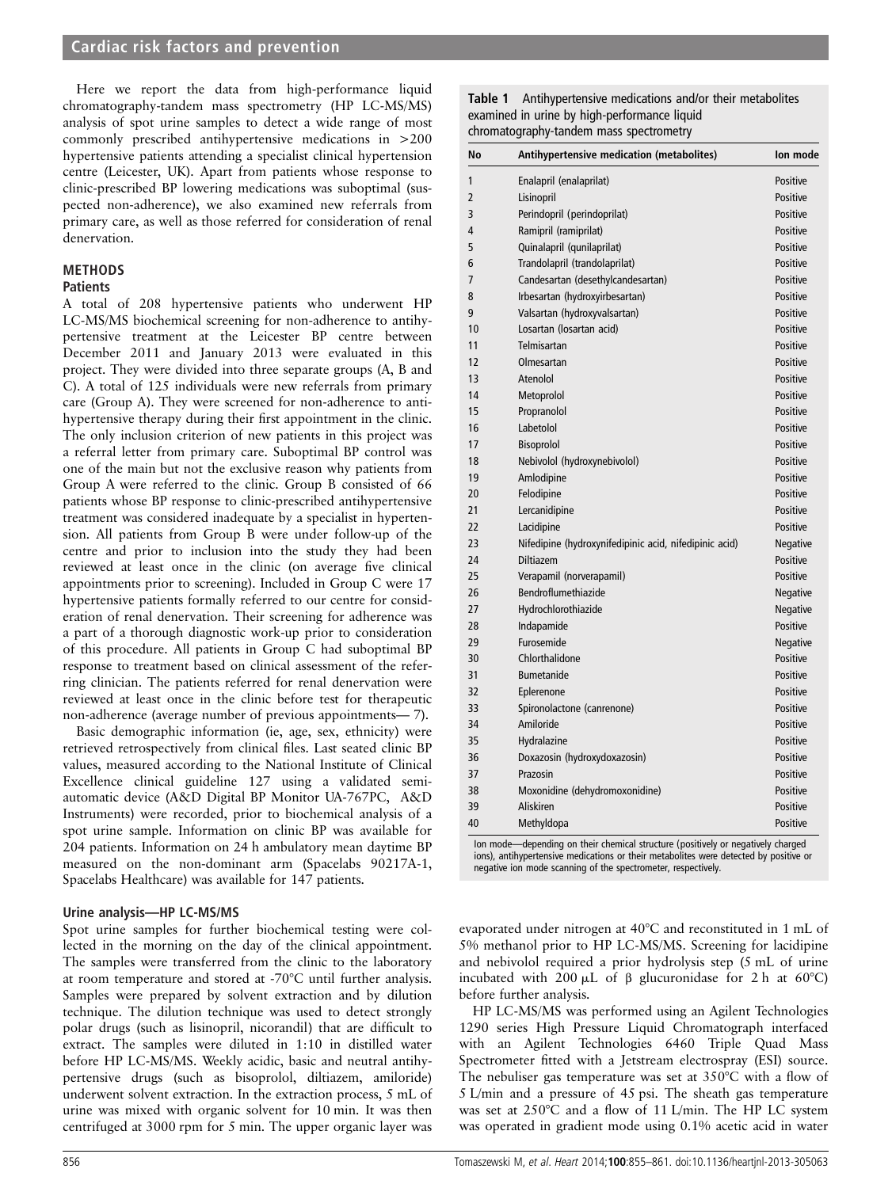Here we report the data from high-performance liquid chromatography-tandem mass spectrometry (HP LC-MS/MS) analysis of spot urine samples to detect a wide range of most commonly prescribed antihypertensive medications in >200 hypertensive patients attending a specialist clinical hypertension centre (Leicester, UK). Apart from patients whose response to clinic-prescribed BP lowering medications was suboptimal (suspected non-adherence), we also examined new referrals from primary care, as well as those referred for consideration of renal denervation.

# METHODS

# **Patients**

A total of 208 hypertensive patients who underwent HP LC-MS/MS biochemical screening for non-adherence to antihypertensive treatment at the Leicester BP centre between December 2011 and January 2013 were evaluated in this project. They were divided into three separate groups (A, B and C). A total of 125 individuals were new referrals from primary care (Group A). They were screened for non-adherence to antihypertensive therapy during their first appointment in the clinic. The only inclusion criterion of new patients in this project was a referral letter from primary care. Suboptimal BP control was one of the main but not the exclusive reason why patients from Group A were referred to the clinic. Group B consisted of 66 patients whose BP response to clinic-prescribed antihypertensive treatment was considered inadequate by a specialist in hypertension. All patients from Group B were under follow-up of the centre and prior to inclusion into the study they had been reviewed at least once in the clinic (on average five clinical appointments prior to screening). Included in Group C were 17 hypertensive patients formally referred to our centre for consideration of renal denervation. Their screening for adherence was a part of a thorough diagnostic work-up prior to consideration of this procedure. All patients in Group C had suboptimal BP response to treatment based on clinical assessment of the referring clinician. The patients referred for renal denervation were reviewed at least once in the clinic before test for therapeutic non-adherence (average number of previous appointments— 7).

Basic demographic information (ie, age, sex, ethnicity) were retrieved retrospectively from clinical files. Last seated clinic BP values, measured according to the National Institute of Clinical Excellence clinical guideline 127 using a validated semiautomatic device (A&D Digital BP Monitor UA-767PC, A&D Instruments) were recorded, prior to biochemical analysis of a spot urine sample. Information on clinic BP was available for 204 patients. Information on 24 h ambulatory mean daytime BP measured on the non-dominant arm (Spacelabs 90217A-1, Spacelabs Healthcare) was available for 147 patients.

# Urine analysis—HP LC-MS/MS

Spot urine samples for further biochemical testing were collected in the morning on the day of the clinical appointment. The samples were transferred from the clinic to the laboratory at room temperature and stored at -70°C until further analysis. Samples were prepared by solvent extraction and by dilution technique. The dilution technique was used to detect strongly polar drugs (such as lisinopril, nicorandil) that are difficult to extract. The samples were diluted in 1:10 in distilled water before HP LC-MS/MS. Weekly acidic, basic and neutral antihypertensive drugs (such as bisoprolol, diltiazem, amiloride) underwent solvent extraction. In the extraction process, 5 mL of urine was mixed with organic solvent for 10 min. It was then centrifuged at 3000 rpm for 5 min. The upper organic layer was

Table 1 Antihypertensive medications and/or their metabolites examined in urine by high-performance liquid chromatography-tandem mass spectrometry

| No | Antihypertensive medication (metabolites)              | Ion mode        |
|----|--------------------------------------------------------|-----------------|
| 1  | Enalapril (enalaprilat)                                | Positive        |
| 2  | Lisinopril                                             | Positive        |
| 3  | Perindopril (perindoprilat)                            | Positive        |
| 4  | Ramipril (ramiprilat)                                  | Positive        |
| 5  | Quinalapril (qunilaprilat)                             | Positive        |
| 6  | Trandolapril (trandolaprilat)                          | Positive        |
| 7  | Candesartan (desethylcandesartan)                      | Positive        |
| 8  | Irbesartan (hydroxyirbesartan)                         | Positive        |
| 9  | Valsartan (hydroxyvalsartan)                           | Positive        |
| 10 | Losartan (losartan acid)                               | Positive        |
| 11 | Telmisartan                                            | Positive        |
| 12 | Olmesartan                                             | Positive        |
| 13 | Atenolol                                               | Positive        |
| 14 | Metoprolol                                             | Positive        |
| 15 | Propranolol                                            | Positive        |
| 16 | Labetolol                                              | Positive        |
| 17 | <b>Bisoprolol</b>                                      | Positive        |
| 18 | Nebivolol (hydroxynebivolol)                           | Positive        |
| 19 | Amlodipine                                             | Positive        |
| 20 | Felodipine                                             | Positive        |
| 21 | Lercanidipine                                          | Positive        |
| 22 | Lacidipine                                             | Positive        |
| 23 | Nifedipine (hydroxynifedipinic acid, nifedipinic acid) | <b>Negative</b> |
| 24 | Diltiazem                                              | Positive        |
| 25 | Verapamil (norverapamil)                               | Positive        |
| 26 | Bendroflumethiazide                                    | Negative        |
| 27 | Hydrochlorothiazide                                    | Negative        |
| 28 | Indapamide                                             | Positive        |
| 29 | Furosemide                                             | Negative        |
| 30 | Chlorthalidone                                         | Positive        |
| 31 | <b>Bumetanide</b>                                      | Positive        |
| 32 | Eplerenone                                             | Positive        |
| 33 | Spironolactone (canrenone)                             | Positive        |
| 34 | Amiloride                                              | Positive        |
| 35 | Hydralazine                                            | Positive        |
| 36 | Doxazosin (hydroxydoxazosin)                           | Positive        |
| 37 | Prazosin                                               | Positive        |
| 38 | Moxonidine (dehydromoxonidine)                         | Positive        |
| 39 | Aliskiren                                              | Positive        |
| 40 | Methyldopa                                             | Positive        |

Ion mode—depending on their chemical structure (positively or negatively charged ions), antihypertensive medications or their metabolites were detected by positive or negative ion mode scanning of the spectrometer, respectively.

evaporated under nitrogen at 40°C and reconstituted in 1 mL of 5% methanol prior to HP LC-MS/MS. Screening for lacidipine and nebivolol required a prior hydrolysis step (5 mL of urine incubated with 200  $\mu$ L of β glucuronidase for 2 h at 60°C) before further analysis.

HP LC-MS/MS was performed using an Agilent Technologies 1290 series High Pressure Liquid Chromatograph interfaced with an Agilent Technologies 6460 Triple Quad Mass Spectrometer fitted with a Jetstream electrospray (ESI) source. The nebuliser gas temperature was set at 350°C with a flow of 5 L/min and a pressure of 45 psi. The sheath gas temperature was set at 250°C and a flow of 11 L/min. The HP LC system was operated in gradient mode using 0.1% acetic acid in water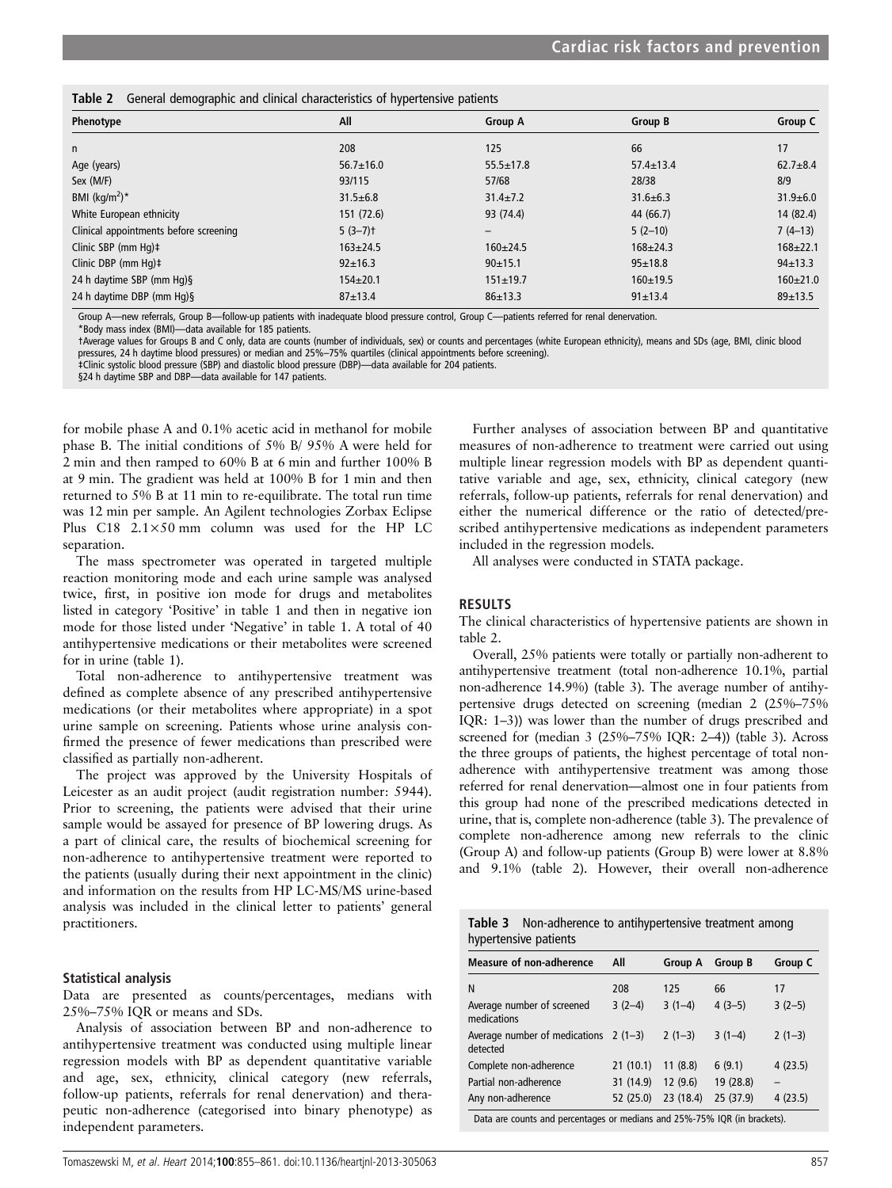|  |  |  |  | Table 2 General demographic and clinical characteristics of hypertensive patients |  |  |  |
|--|--|--|--|-----------------------------------------------------------------------------------|--|--|--|
|--|--|--|--|-----------------------------------------------------------------------------------|--|--|--|

| - -                                    |                 |                          |                 |                |
|----------------------------------------|-----------------|--------------------------|-----------------|----------------|
| Phenotype                              | All             | <b>Group A</b>           | Group B         | Group C        |
| n                                      | 208             | 125                      | 66              | 17             |
| Age (years)                            | $56.7 \pm 16.0$ | $55.5 \pm 17.8$          | $57.4 \pm 13.4$ | $62.7 + 8.4$   |
| Sex (M/F)                              | 93/115          | 57/68                    | 28/38           | 8/9            |
| BMI ( $\text{kg/m}^2$ )*               | $31.5 \pm 6.8$  | $31.4 \pm 7.2$           | $31.6 \pm 6.3$  | $31.9 \pm 6.0$ |
| White European ethnicity               | 151(72.6)       | 93 (74.4)                | 44 (66.7)       | 14 (82.4)      |
| Clinical appointments before screening | $5(3-7)$ t      | $\overline{\phantom{0}}$ | $5(2-10)$       | $7(4-13)$      |
| Clinic SBP (mm $Hq$ ) $\ddagger$       | $163 \pm 24.5$  | $160 \pm 24.5$           | $168 \pm 24.3$  | $168 + 22.1$   |
| Clinic DBP (mm Hg)‡                    | $92 \pm 16.3$   | 90±15.1                  | $95 \pm 18.8$   | $94 \pm 13.3$  |
| 24 h daytime SBP (mm Hg) §             | $154 \pm 20.1$  | $151 \pm 19.7$           | $160 + 19.5$    | $160 \pm 21.0$ |
| 24 h daytime DBP (mm Hg)§              | $87 + 13.4$     | $86 \pm 13.3$            | $91 \pm 13.4$   | $89 + 13.5$    |

Group A—new referrals, Group B—follow-up patients with inadequate blood pressure control, Group C—patients referred for renal denervation.

\*Body mass index (BMI)—data available for 185 patients.

†Average values for Groups B and C only, data are counts (number of individuals, sex) or counts and percentages (white European ethnicity), means and SDs (age, BMI, clinic blood pressures, 24 h daytime blood pressures) or median and 25%–75% quartiles (clinical appointments before screening).

‡Clinic systolic blood pressure (SBP) and diastolic blood pressure (DBP)—data available for 204 patients.

§24 h daytime SBP and DBP—data available for 147 patients.

for mobile phase A and 0.1% acetic acid in methanol for mobile phase B. The initial conditions of 5% B/ 95% A were held for 2 min and then ramped to 60% B at 6 min and further 100% B at 9 min. The gradient was held at 100% B for 1 min and then returned to 5% B at 11 min to re-equilibrate. The total run time was 12 min per sample. An Agilent technologies Zorbax Eclipse Plus C18 2.1×50 mm column was used for the HP LC separation.

The mass spectrometer was operated in targeted multiple reaction monitoring mode and each urine sample was analysed twice, first, in positive ion mode for drugs and metabolites listed in category 'Positive' in table 1 and then in negative ion mode for those listed under 'Negative' in table 1. A total of 40 antihypertensive medications or their metabolites were screened for in urine (table 1).

Total non-adherence to antihypertensive treatment was defined as complete absence of any prescribed antihypertensive medications (or their metabolites where appropriate) in a spot urine sample on screening. Patients whose urine analysis confirmed the presence of fewer medications than prescribed were classified as partially non-adherent.

The project was approved by the University Hospitals of Leicester as an audit project (audit registration number: 5944). Prior to screening, the patients were advised that their urine sample would be assayed for presence of BP lowering drugs. As a part of clinical care, the results of biochemical screening for non-adherence to antihypertensive treatment were reported to the patients (usually during their next appointment in the clinic) and information on the results from HP LC-MS/MS urine-based analysis was included in the clinical letter to patients' general practitioners.

# Statistical analysis

Data are presented as counts/percentages, medians with 25%–75% IQR or means and SDs.

Analysis of association between BP and non-adherence to antihypertensive treatment was conducted using multiple linear regression models with BP as dependent quantitative variable and age, sex, ethnicity, clinical category (new referrals, follow-up patients, referrals for renal denervation) and therapeutic non-adherence (categorised into binary phenotype) as independent parameters.

Further analyses of association between BP and quantitative measures of non-adherence to treatment were carried out using multiple linear regression models with BP as dependent quantitative variable and age, sex, ethnicity, clinical category (new referrals, follow-up patients, referrals for renal denervation) and either the numerical difference or the ratio of detected/prescribed antihypertensive medications as independent parameters included in the regression models.

All analyses were conducted in STATA package.

# RESULTS

The clinical characteristics of hypertensive patients are shown in table 2.

Overall, 25% patients were totally or partially non-adherent to antihypertensive treatment (total non-adherence 10.1%, partial non-adherence 14.9%) (table 3). The average number of antihypertensive drugs detected on screening (median 2 (25%–75% IQR: 1–3)) was lower than the number of drugs prescribed and screened for (median 3 (25%–75% IQR: 2–4)) (table 3). Across the three groups of patients, the highest percentage of total nonadherence with antihypertensive treatment was among those referred for renal denervation—almost one in four patients from this group had none of the prescribed medications detected in urine, that is, complete non-adherence (table 3). The prevalence of complete non-adherence among new referrals to the clinic (Group A) and follow-up patients (Group B) were lower at 8.8% and 9.1% (table 2). However, their overall non-adherence

| <b>Table 3</b> Non-adherence to antihypertensive treatment among |  |
|------------------------------------------------------------------|--|
| hypertensive patients                                            |  |

| . .                                                                                                                    |           |                |                |          |  |
|------------------------------------------------------------------------------------------------------------------------|-----------|----------------|----------------|----------|--|
| <b>Measure of non-adherence</b>                                                                                        | All       | <b>Group A</b> | <b>Group B</b> | Group C  |  |
| N                                                                                                                      | 208       | 125            | 66             | 17       |  |
| Average number of screened<br>medications                                                                              | $3(2-4)$  | $3(1-4)$       | $4(3-5)$       | $3(2-5)$ |  |
| Average number of medications $2(1-3)$<br>detected                                                                     |           | $2(1-3)$       | $3(1-4)$       | $2(1-3)$ |  |
| Complete non-adherence                                                                                                 | 21(10.1)  | 11(8.8)        | 6(9.1)         | 4(23.5)  |  |
| Partial non-adherence                                                                                                  | 31 (14.9) | 12(9.6)        | 19 (28.8)      |          |  |
| Any non-adherence                                                                                                      | 52 (25.0) | 23 (18.4)      | 25 (37.9)      | 4(23.5)  |  |
| <b>Prime in the second in the second in the second in the second in the second in the second in the second in the </b> |           |                |                |          |  |

Data are counts and percentages or medians and 25%-75% IQR (in brackets).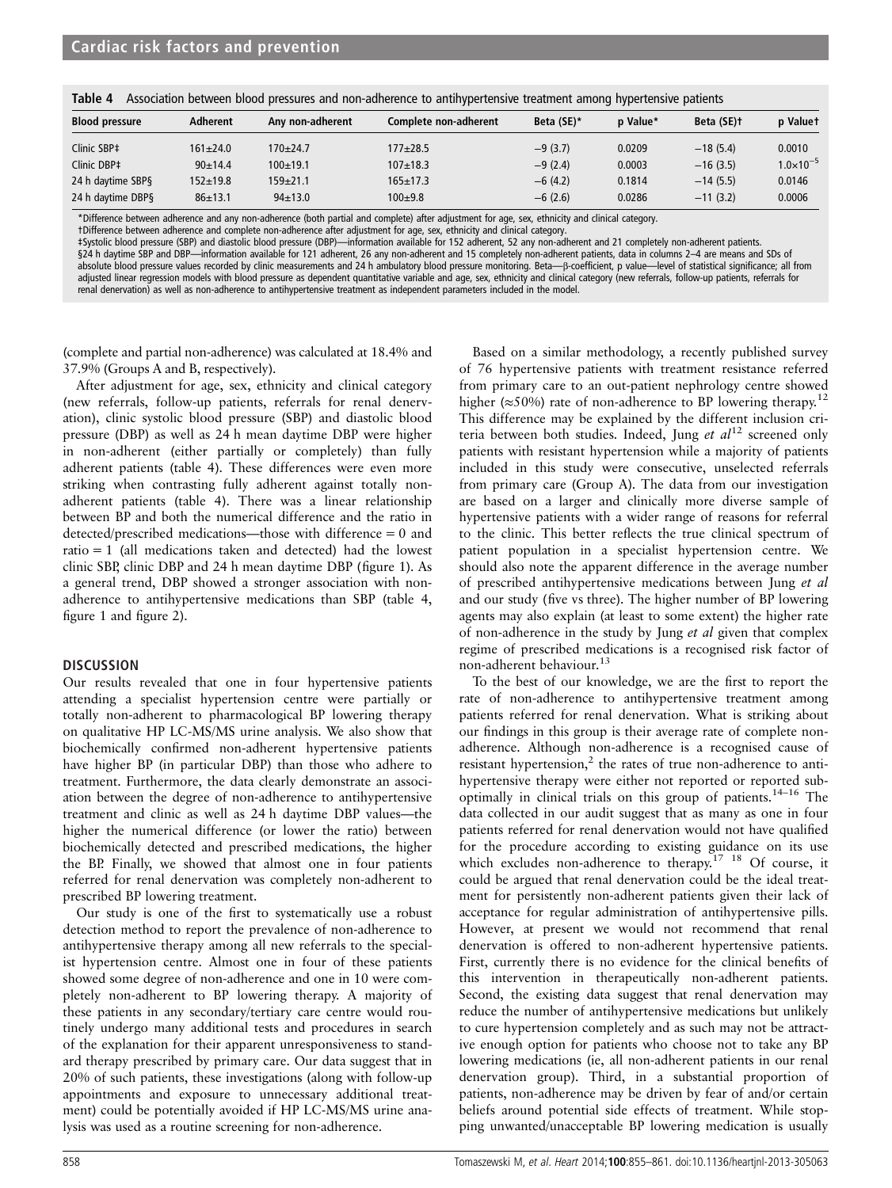| Table 4<br>Association between blood pressures and non-adherence to antihypertensive treatment among hypertensive patients |                |                  |                       |            |          |            |                      |  |
|----------------------------------------------------------------------------------------------------------------------------|----------------|------------------|-----------------------|------------|----------|------------|----------------------|--|
| <b>Blood pressure</b>                                                                                                      | Adherent       | Any non-adherent | Complete non-adherent | Beta (SE)* | p Value* | Beta (SE)+ | p Valuet             |  |
| Clinic SBP‡                                                                                                                | $161 \pm 24.0$ | $170+24.7$       | $177 + 28.5$          | $-9(3.7)$  | 0.0209   | $-18(5.4)$ | 0.0010               |  |
| Clinic DBP‡                                                                                                                | 90±14.4        | $100+19.1$       | $107 \pm 18.3$        | $-9(2,4)$  | 0.0003   | $-16(3.5)$ | $1.0 \times 10^{-5}$ |  |
| 24 h daytime SBP§                                                                                                          | $152 + 19.8$   | $159+21.1$       | $165 + 17.3$          | $-6(4.2)$  | 0.1814   | $-14(5.5)$ | 0.0146               |  |
| 24 h daytime DBP§                                                                                                          | $86 \pm 13.1$  | $94 \pm 13.0$    | $100+9.8$             | $-6(2.6)$  | 0.0286   | $-11(3.2)$ | 0.0006               |  |

\*Difference between adherence and any non-adherence (both partial and complete) after adjustment for age, sex, ethnicity and clinical category.

†Difference between adherence and complete non-adherence after adjustment for age, sex, ethnicity and clinical category.

‡Systolic blood pressure (SBP) and diastolic blood pressure (DBP)—information available for 152 adherent, 52 any non-adherent and 21 completely non-adherent patients.

§24 h daytime SBP and DBP—information available for 121 adherent, 26 any non-adherent and 15 completely non-adherent patients, data in columns 2-4 are means and SDs of absolute blood pressure values recorded by clinic measurements and 24 h ambulatory blood pressure monitoring. Beta—β-coefficient, p value—level of statistical significance; all from adjusted linear regression models with blood pressure as dependent quantitative variable and age, sex, ethnicity and clinical category (new referrals, follow-up patients, referrals for renal denervation) as well as non-adherence to antihypertensive treatment as independent parameters included in the model.

(complete and partial non-adherence) was calculated at 18.4% and 37.9% (Groups A and B, respectively).

After adjustment for age, sex, ethnicity and clinical category (new referrals, follow-up patients, referrals for renal denervation), clinic systolic blood pressure (SBP) and diastolic blood pressure (DBP) as well as 24 h mean daytime DBP were higher in non-adherent (either partially or completely) than fully adherent patients (table 4). These differences were even more striking when contrasting fully adherent against totally nonadherent patients (table 4). There was a linear relationship between BP and both the numerical difference and the ratio in detected/prescribed medications—those with difference = 0 and ratio = 1 (all medications taken and detected) had the lowest clinic SBP, clinic DBP and 24 h mean daytime DBP (figure 1). As a general trend, DBP showed a stronger association with nonadherence to antihypertensive medications than SBP (table 4, figure 1 and figure 2).

# **DISCUSSION**

Our results revealed that one in four hypertensive patients attending a specialist hypertension centre were partially or totally non-adherent to pharmacological BP lowering therapy on qualitative HP LC-MS/MS urine analysis. We also show that biochemically confirmed non-adherent hypertensive patients have higher BP (in particular DBP) than those who adhere to treatment. Furthermore, the data clearly demonstrate an association between the degree of non-adherence to antihypertensive treatment and clinic as well as 24 h daytime DBP values—the higher the numerical difference (or lower the ratio) between biochemically detected and prescribed medications, the higher the BP. Finally, we showed that almost one in four patients referred for renal denervation was completely non-adherent to prescribed BP lowering treatment.

Our study is one of the first to systematically use a robust detection method to report the prevalence of non-adherence to antihypertensive therapy among all new referrals to the specialist hypertension centre. Almost one in four of these patients showed some degree of non-adherence and one in 10 were completely non-adherent to BP lowering therapy. A majority of these patients in any secondary/tertiary care centre would routinely undergo many additional tests and procedures in search of the explanation for their apparent unresponsiveness to standard therapy prescribed by primary care. Our data suggest that in 20% of such patients, these investigations (along with follow-up appointments and exposure to unnecessary additional treatment) could be potentially avoided if HP LC-MS/MS urine analysis was used as a routine screening for non-adherence.

Based on a similar methodology, a recently published survey of 76 hypertensive patients with treatment resistance referred from primary care to an out-patient nephrology centre showed higher ( $\approx$ 50%) rate of non-adherence to BP lowering therapy.<sup>12</sup> This difference may be explained by the different inclusion criteria between both studies. Indeed, Jung et  $al<sup>12</sup>$  screened only patients with resistant hypertension while a majority of patients included in this study were consecutive, unselected referrals from primary care (Group A). The data from our investigation are based on a larger and clinically more diverse sample of hypertensive patients with a wider range of reasons for referral to the clinic. This better reflects the true clinical spectrum of patient population in a specialist hypertension centre. We should also note the apparent difference in the average number of prescribed antihypertensive medications between Jung et al and our study (five vs three). The higher number of BP lowering agents may also explain (at least to some extent) the higher rate of non-adherence in the study by Jung et al given that complex regime of prescribed medications is a recognised risk factor of non-adherent behaviour.<sup>13</sup>

To the best of our knowledge, we are the first to report the rate of non-adherence to antihypertensive treatment among patients referred for renal denervation. What is striking about our findings in this group is their average rate of complete nonadherence. Although non-adherence is a recognised cause of resistant hypertension, $2$  the rates of true non-adherence to antihypertensive therapy were either not reported or reported suboptimally in clinical trials on this group of patients.14–<sup>16</sup> The data collected in our audit suggest that as many as one in four patients referred for renal denervation would not have qualified for the procedure according to existing guidance on its use which excludes non-adherence to therapy.<sup>17 18</sup> Of course, it could be argued that renal denervation could be the ideal treatment for persistently non-adherent patients given their lack of acceptance for regular administration of antihypertensive pills. However, at present we would not recommend that renal denervation is offered to non-adherent hypertensive patients. First, currently there is no evidence for the clinical benefits of this intervention in therapeutically non-adherent patients. Second, the existing data suggest that renal denervation may reduce the number of antihypertensive medications but unlikely to cure hypertension completely and as such may not be attractive enough option for patients who choose not to take any BP lowering medications (ie, all non-adherent patients in our renal denervation group). Third, in a substantial proportion of patients, non-adherence may be driven by fear of and/or certain beliefs around potential side effects of treatment. While stopping unwanted/unacceptable BP lowering medication is usually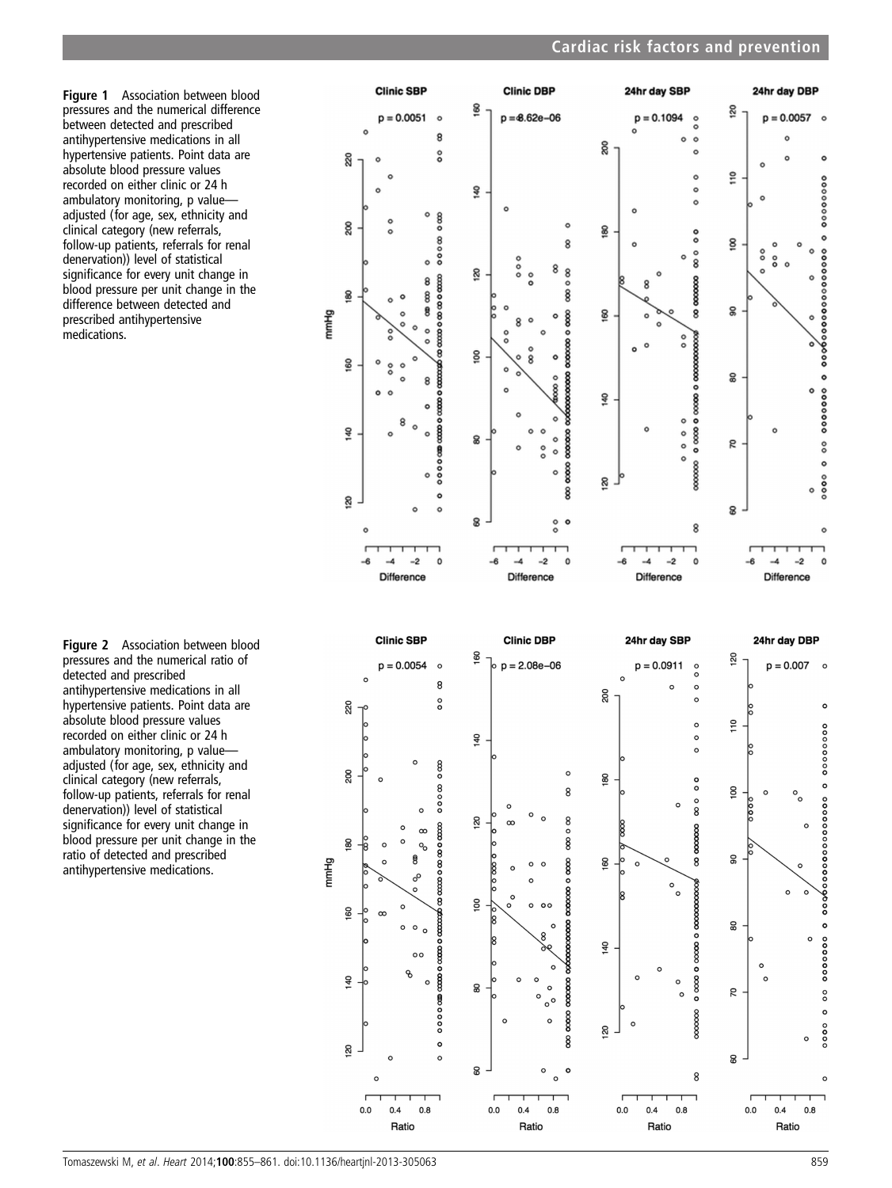Figure 1 Association between blood pressures and the numerical difference between detected and prescribed antihypertensive medications in all hypertensive patients. Point data are absolute blood pressure values recorded on either clinic or 24 h ambulatory monitoring, p value adjusted (for age, sex, ethnicity and clinical category (new referrals, follow-up patients, referrals for renal denervation)) level of statistical significance for every unit change in blood pressure per unit change in the difference between detected and prescribed antihypertensive medications.

Figure 2 Association between blood pressures and the numerical ratio of detected and prescribed antihypertensive medications in all hypertensive patients. Point data are absolute blood pressure values recorded on either clinic or 24 h ambulatory monitoring, p value adjusted (for age, sex, ethnicity and clinical category (new referrals, follow-up patients, referrals for renal denervation)) level of statistical significance for every unit change in blood pressure per unit change in the ratio of detected and prescribed antihypertensive medications.

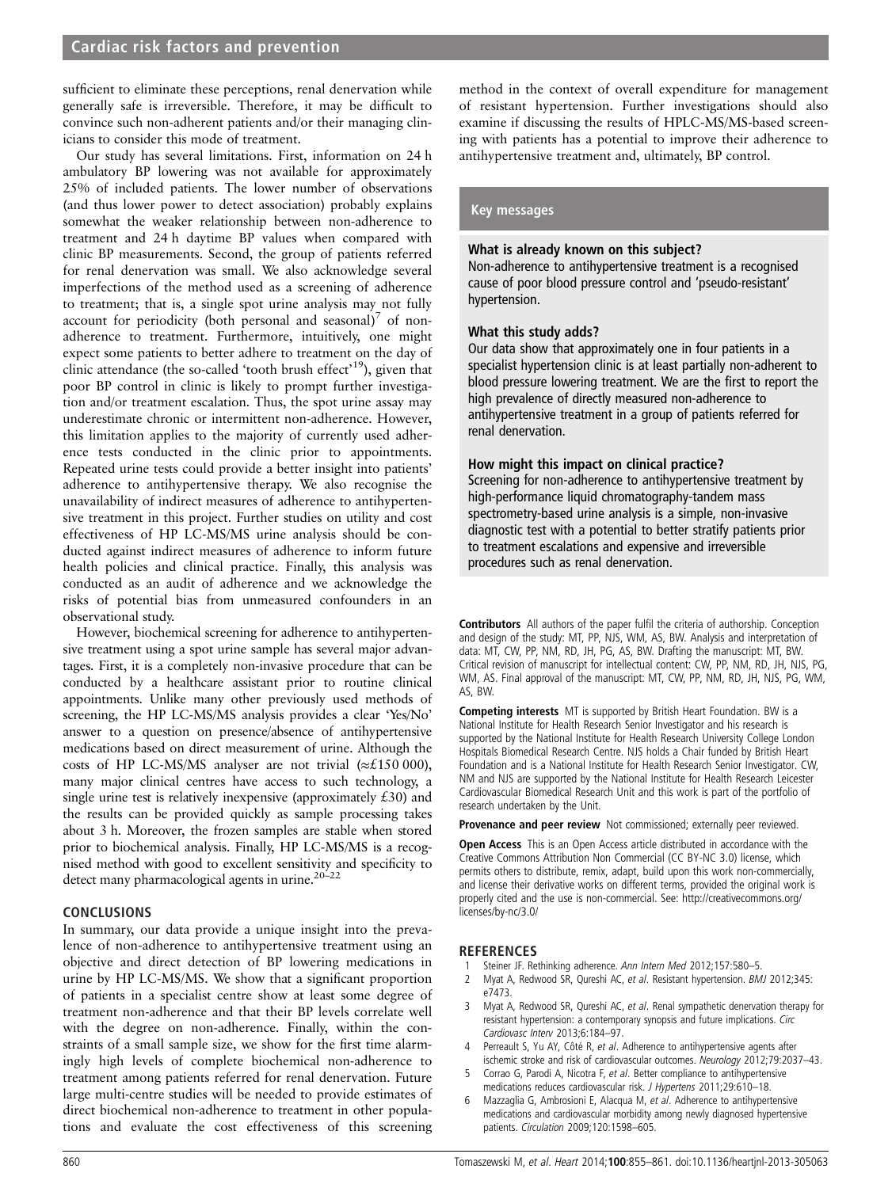sufficient to eliminate these perceptions, renal denervation while generally safe is irreversible. Therefore, it may be difficult to convince such non-adherent patients and/or their managing clinicians to consider this mode of treatment.

Our study has several limitations. First, information on 24 h ambulatory BP lowering was not available for approximately 25% of included patients. The lower number of observations (and thus lower power to detect association) probably explains somewhat the weaker relationship between non-adherence to treatment and 24 h daytime BP values when compared with clinic BP measurements. Second, the group of patients referred for renal denervation was small. We also acknowledge several imperfections of the method used as a screening of adherence to treatment; that is, a single spot urine analysis may not fully account for periodicity (both personal and seasonal)<sup>7</sup> of nonadherence to treatment. Furthermore, intuitively, one might expect some patients to better adhere to treatment on the day of clinic attendance (the so-called 'tooth brush effect'<sup>19</sup>), given that poor BP control in clinic is likely to prompt further investigation and/or treatment escalation. Thus, the spot urine assay may underestimate chronic or intermittent non-adherence. However, this limitation applies to the majority of currently used adherence tests conducted in the clinic prior to appointments. Repeated urine tests could provide a better insight into patients' adherence to antihypertensive therapy. We also recognise the unavailability of indirect measures of adherence to antihypertensive treatment in this project. Further studies on utility and cost effectiveness of HP LC-MS/MS urine analysis should be conducted against indirect measures of adherence to inform future health policies and clinical practice. Finally, this analysis was conducted as an audit of adherence and we acknowledge the risks of potential bias from unmeasured confounders in an observational study.

However, biochemical screening for adherence to antihypertensive treatment using a spot urine sample has several major advantages. First, it is a completely non-invasive procedure that can be conducted by a healthcare assistant prior to routine clinical appointments. Unlike many other previously used methods of screening, the HP LC-MS/MS analysis provides a clear 'Yes/No' answer to a question on presence/absence of antihypertensive medications based on direct measurement of urine. Although the costs of HP LC-MS/MS analyser are not trivial ( $\approx$ £150 000), many major clinical centres have access to such technology, a single urine test is relatively inexpensive (approximately  $£30$ ) and the results can be provided quickly as sample processing takes about 3 h. Moreover, the frozen samples are stable when stored prior to biochemical analysis. Finally, HP LC-MS/MS is a recognised method with good to excellent sensitivity and specificity to detect many pharmacological agents in urine.20–<sup>22</sup>

# CONCLUSIONS

In summary, our data provide a unique insight into the prevalence of non-adherence to antihypertensive treatment using an objective and direct detection of BP lowering medications in urine by HP LC-MS/MS. We show that a significant proportion of patients in a specialist centre show at least some degree of treatment non-adherence and that their BP levels correlate well with the degree on non-adherence. Finally, within the constraints of a small sample size, we show for the first time alarmingly high levels of complete biochemical non-adherence to treatment among patients referred for renal denervation. Future large multi-centre studies will be needed to provide estimates of direct biochemical non-adherence to treatment in other populations and evaluate the cost effectiveness of this screening

method in the context of overall expenditure for management of resistant hypertension. Further investigations should also examine if discussing the results of HPLC-MS/MS-based screening with patients has a potential to improve their adherence to antihypertensive treatment and, ultimately, BP control.

# Key messages

# What is already known on this subject?

Non-adherence to antihypertensive treatment is a recognised cause of poor blood pressure control and 'pseudo-resistant' hypertension.

# What this study adds?

Our data show that approximately one in four patients in a specialist hypertension clinic is at least partially non-adherent to blood pressure lowering treatment. We are the first to report the high prevalence of directly measured non-adherence to antihypertensive treatment in a group of patients referred for renal denervation.

# How might this impact on clinical practice?

Screening for non-adherence to antihypertensive treatment by high-performance liquid chromatography-tandem mass spectrometry-based urine analysis is a simple, non-invasive diagnostic test with a potential to better stratify patients prior to treatment escalations and expensive and irreversible procedures such as renal denervation.

Contributors All authors of the paper fulfil the criteria of authorship. Conception and design of the study: MT, PP, NJS, WM, AS, BW. Analysis and interpretation of data: MT, CW, PP, NM, RD, JH, PG, AS, BW. Drafting the manuscript: MT, BW. Critical revision of manuscript for intellectual content: CW, PP, NM, RD, JH, NJS, PG, WM, AS. Final approval of the manuscript: MT, CW, PP, NM, RD, JH, NJS, PG, WM, AS, BW.

Competing interests MT is supported by British Heart Foundation. BW is a National Institute for Health Research Senior Investigator and his research is supported by the National Institute for Health Research University College London Hospitals Biomedical Research Centre. NJS holds a Chair funded by British Heart Foundation and is a National Institute for Health Research Senior Investigator. CW, NM and NJS are supported by the National Institute for Health Research Leicester Cardiovascular Biomedical Research Unit and this work is part of the portfolio of research undertaken by the Unit.

Provenance and peer review Not commissioned; externally peer reviewed.

Open Access This is an Open Access article distributed in accordance with the Creative Commons Attribution Non Commercial (CC BY-NC 3.0) license, which permits others to distribute, remix, adapt, build upon this work non-commercially, and license their derivative works on different terms, provided the original work is properly cited and the use is non-commercial. See: [http://creativecommons.org/](http://creativecommons.org/licenses/by-nc/3.0/) [licenses/by-nc/3.0/](http://creativecommons.org/licenses/by-nc/3.0/)

# REFERENCES

- 1 Steiner JF. Rethinking adherence. Ann Intern Med 2012;157:580-5.
- 2 Myat A, Redwood SR, Qureshi AC, et al. Resistant hypertension. BMJ 2012;345: e7473.
- 3 Myat A, Redwood SR, Qureshi AC, et al. Renal sympathetic denervation therapy for resistant hypertension: a contemporary synopsis and future implications. Circ Cardiovasc Interv 2013;6:184–97.
- 4 Perreault S, Yu AY, Côté R, et al. Adherence to antihypertensive agents after ischemic stroke and risk of cardiovascular outcomes. Neurology 2012;79:2037–43.
- 5 Corrao G, Parodi A, Nicotra F, et al. Better compliance to antihypertensive medications reduces cardiovascular risk. J Hypertens 2011;29:610–18.
- Mazzaglia G, Ambrosioni E, Alacqua M, et al. Adherence to antihypertensive medications and cardiovascular morbidity among newly diagnosed hypertensive patients. Circulation 2009;120:1598–605.